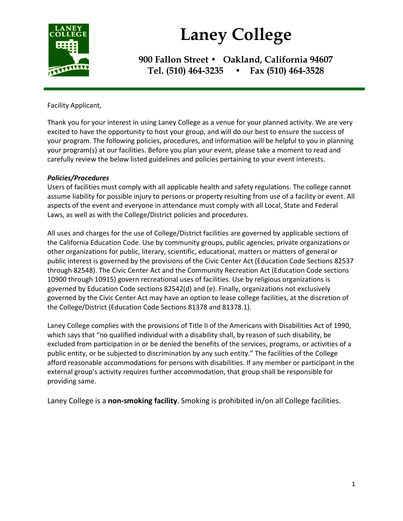

# **Laney College**

**900 Fallon Street • Oakland, California 94607 Tel. (510) 464-3235 • Fax (510) 464-3528**

Facility Applicant,

Thank you for your interest in using Laney College as a venue for your planned activity. We are very excited to have the opportunity to host your group, and will do our best to ensure the success of your program. The following policies, procedures, and information will be helpful to you in planning your program(s) at our facilities. Before you plan your event, please take a moment to read and carefully review the below listed guidelines and policies pertaining to your event interests.

## *Policies/Procedures*

Users of facilities must comply with all applicable health and safety regulations. The college cannot assume liability for possible injury to persons or property resulting from use of a facility or event. All aspects of the event and everyone in attendance must comply with all Local, State and Federal Laws, as well as with the College/District policies and procedures.

All uses and charges for the use of College/District facilities are governed by applicable sections of the California Education Code. Use by community groups, public agencies, private organizations or other organizations for public, literary, scientific, educational, matters or matters of general or public interest is governed by the provisions of the Civic Center Act (Education Code Sections 82537 through 82548). The Civic Center Act and the Community Recreation Act (Education Code sections 10900 through 10915) govern recreational uses of facilities. Use by religious organizations is governed by Education Code sections 82542(d) and (e). Finally, organizations not exclusively governed by the Civic Center Act may have an option to lease college facilities, at the discretion of the College/District (Education Code Sections 81378 and 81378.1).

Laney College complies with the provisions of Title II of the Americans with Disabilities Act of 1990, which says that "no qualified individual with a disability shall, by reason of such disability, be excluded from participation in or be denied the benefits of the services, programs, or activities of a public entity, or be subjected to discrimination by any such entity." The facilities of the College afford reasonable accommodations for persons with disabilities. If any member or participant in the external group's activity requires further accommodation, that group shall be responsible for providing same.

Laney College is a **non-smoking facility**. Smoking is prohibited in/on all College facilities.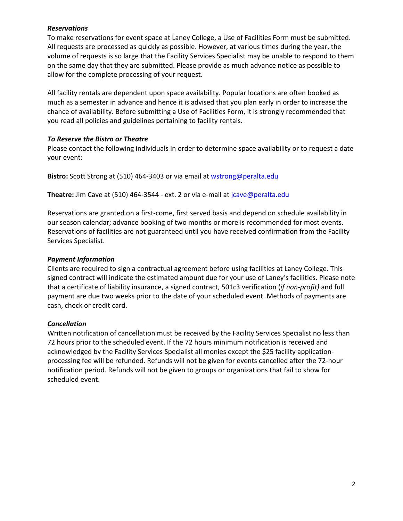## *Reservations*

To make reservations for event space at Laney College, a Use of Facilities Form must be submitted. All requests are processed as quickly as possible. However, at various times during the year, the volume of requests is so large that the Facility Services Specialist may be unable to respond to them on the same day that they are submitted. Please provide as much advance notice as possible to allow for the complete processing of your request.

All facility rentals are dependent upon space availability. Popular locations are often booked as much as a semester in advance and hence it is advised that you plan early in order to increase the chance of availability. Before submitting a Use of Facilities Form, it is strongly recommended that you read all policies and guidelines pertaining to facility rentals.

## *To Reserve the Bistro or Theatre*

Please contact the following individuals in order to determine space availability or to request a date your event:

**Bistro:** Scott Strong at (510) 464-3403 or via email at wstrong@peralta.edu

**Theatre:** Jim Cave at (510) 464-3544 - ext. 2 or via e-mail at jcave@peralta.edu

Reservations are granted on a first-come, first served basis and depend on schedule availability in our season calendar; advance booking of two months or more is recommended for most events. Reservations of facilities are not guaranteed until you have received confirmation from the Facility Services Specialist.

## *Payment Information*

Clients are required to sign a contractual agreement before using facilities at Laney College. This signed contract will indicate the estimated amount due for your use of Laney's facilities. Please note that a certificate of liability insurance, a signed contract, 501c3 verification (*if non-profit)* and full payment are due two weeks prior to the date of your scheduled event. Methods of payments are cash, check or credit card.

## *Cancellation*

Written notification of cancellation must be received by the Facility Services Specialist no less than 72 hours prior to the scheduled event. If the 72 hours minimum notification is received and acknowledged by the Facility Services Specialist all monies except the \$25 facility applicationprocessing fee will be refunded. Refunds will not be given for events cancelled after the 72-hour notification period. Refunds will not be given to groups or organizations that fail to show for scheduled event.